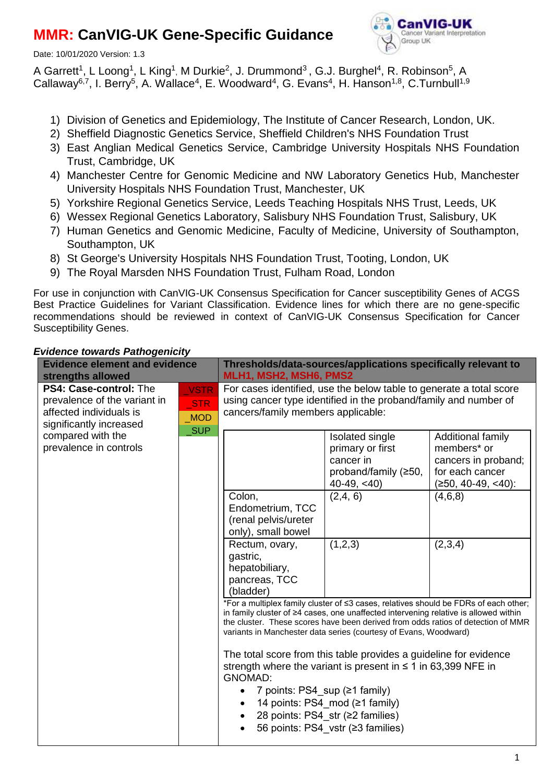# **MMR: CanVIG-UK Gene-Specific Guidance**

Date: 10/01/2020 Version: 1.3



A Garrett<sup>1</sup>, L Loong<sup>1</sup>, L King<sup>1</sup>, M Durkie<sup>2</sup>, J. Drummond<sup>3</sup>, G.J. Burghel<sup>4</sup>, R. Robinson<sup>5</sup>, A Callaway<sup>6,7</sup>, I. Berry<sup>5</sup>, A. Wallace<sup>4</sup>, E. Woodward<sup>4</sup>, G. Evans<sup>4</sup>, H. Hanson<sup>1,8</sup>, C.Turnbull<sup>1,9</sup>

- 1) Division of Genetics and Epidemiology, The Institute of Cancer Research, London, UK.
- 2) Sheffield Diagnostic Genetics Service, Sheffield Children's NHS Foundation Trust
- 3) East Anglian Medical Genetics Service, Cambridge University Hospitals NHS Foundation Trust, Cambridge, UK
- 4) Manchester Centre for Genomic Medicine and NW Laboratory Genetics Hub, Manchester University Hospitals NHS Foundation Trust, Manchester, UK
- 5) Yorkshire Regional Genetics Service, Leeds Teaching Hospitals NHS Trust, Leeds, UK
- 6) Wessex Regional Genetics Laboratory, Salisbury NHS Foundation Trust, Salisbury, UK
- 7) Human Genetics and Genomic Medicine, Faculty of Medicine, University of Southampton, Southampton, UK
- 8) St George's University Hospitals NHS Foundation Trust, Tooting, London, UK
- 9) The Royal Marsden NHS Foundation Trust, Fulham Road, London

For use in conjunction with CanVIG-UK Consensus Specification for Cancer susceptibility Genes of ACGS Best Practice Guidelines for Variant Classification. Evidence lines for which there are no gene-specific recommendations should be reviewed in context of CanVIG-UK Consensus Specification for Cancer Susceptibility Genes.

#### **Evidence element and evidence strengths allowed Thresholds/data-sources/applications specifically relevant to MLH1, MSH2, MSH6, PMS2 PS4: Case-control:** The prevalence of the variant in affected individuals is significantly increased compared with the prevalence in controls **VSTR** For cases identified, use the below table to generate a total score using cancer type identified in the proband/family and number of cancers/family members applicable: Isolated single primary or first cancer in proband/family (≥50, 40-49, <40) Additional family members\* or cancers in proband; for each cancer (≥50, 40-49, <40): Colon, Endometrium, TCC (renal pelvis/ureter only), small bowel  $(2,4, 6)$   $(4,6,8)$ Rectum, ovary, gastric, hepatobiliary, pancreas, TCC (bladder)  $(1,2,3)$  (2,3,4) \*For a multiplex family cluster of ≤3 cases, relatives should be FDRs of each other; in family cluster of ≥4 cases, one unaffected intervening relative is allowed within the cluster. These scores have been derived from odds ratios of detection of MMR variants in Manchester data series (courtesy of Evans, Woodward) The total score from this table provides a guideline for evidence strength where the variant is present in  $\leq 1$  in 63,399 NFE in GNOMAD: • 7 points: PS4 sup  $(≥1$  family) 14 points: PS4\_mod (≥1 family) 28 points: PS4\_str (≥2 families) 56 points: PS4\_vstr (≥3 families) \_STR \_MOD \_SUP

## *Evidence towards Pathogenicity*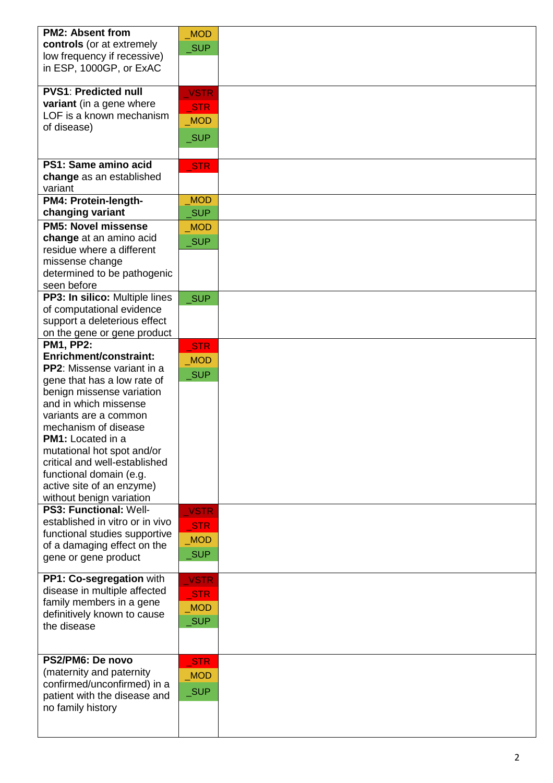| <b>PM2: Absent from</b>           | <b>MOD</b>          |  |
|-----------------------------------|---------------------|--|
| controls (or at extremely         | _SUP                |  |
| low frequency if recessive)       |                     |  |
| in ESP, 1000GP, or ExAC           |                     |  |
|                                   |                     |  |
| <b>PVS1: Predicted null</b>       | <b>VSTR</b>         |  |
| variant (in a gene where          |                     |  |
| LOF is a known mechanism          | <b>STR</b>          |  |
| of disease)                       | MOD                 |  |
|                                   | $\sqrt{\text{SUP}}$ |  |
|                                   |                     |  |
| PS1: Same amino acid              | <b>STR</b>          |  |
| change as an established          |                     |  |
| variant                           |                     |  |
| PM4: Protein-length-              | <b>MOD</b>          |  |
| changing variant                  | <b>SUP</b>          |  |
| <b>PM5: Novel missense</b>        | <b>MOD</b>          |  |
| change at an amino acid           |                     |  |
| residue where a different         | <b>SUP</b>          |  |
| missense change                   |                     |  |
| determined to be pathogenic       |                     |  |
| seen before                       |                     |  |
| PP3: In silico: Multiple lines    | _SUP                |  |
| of computational evidence         |                     |  |
| support a deleterious effect      |                     |  |
| on the gene or gene product       |                     |  |
| <b>PM1, PP2:</b>                  | STR                 |  |
| Enrichment/constraint:            |                     |  |
| <b>PP2:</b> Missense variant in a | <b>MOD</b>          |  |
| gene that has a low rate of       | <b>SUP</b>          |  |
| benign missense variation         |                     |  |
| and in which missense             |                     |  |
| variants are a common             |                     |  |
| mechanism of disease              |                     |  |
| <b>PM1:</b> Located in a          |                     |  |
| mutational hot spot and/or        |                     |  |
| critical and well-established     |                     |  |
| functional domain (e.g.           |                     |  |
| active site of an enzyme)         |                     |  |
| without benign variation          |                     |  |
| <b>PS3: Functional: Well-</b>     | <b>VSTR</b>         |  |
| established in vitro or in vivo   |                     |  |
| functional studies supportive     | <b>STR</b>          |  |
| of a damaging effect on the       | <b>MOD</b>          |  |
| gene or gene product              | <b>SUP</b>          |  |
|                                   |                     |  |
| PP1: Co-segregation with          | <b>VSTR</b>         |  |
| disease in multiple affected      | <b>STR</b>          |  |
| family members in a gene          | <b>MOD</b>          |  |
| definitively known to cause       |                     |  |
| the disease                       | <b>SUP</b>          |  |
|                                   |                     |  |
|                                   |                     |  |
| PS2/PM6: De novo                  | <b>STR</b>          |  |
| (maternity and paternity          | <b>MOD</b>          |  |
| confirmed/unconfirmed) in a       | _SUP                |  |
| patient with the disease and      |                     |  |
| no family history                 |                     |  |
|                                   |                     |  |
|                                   |                     |  |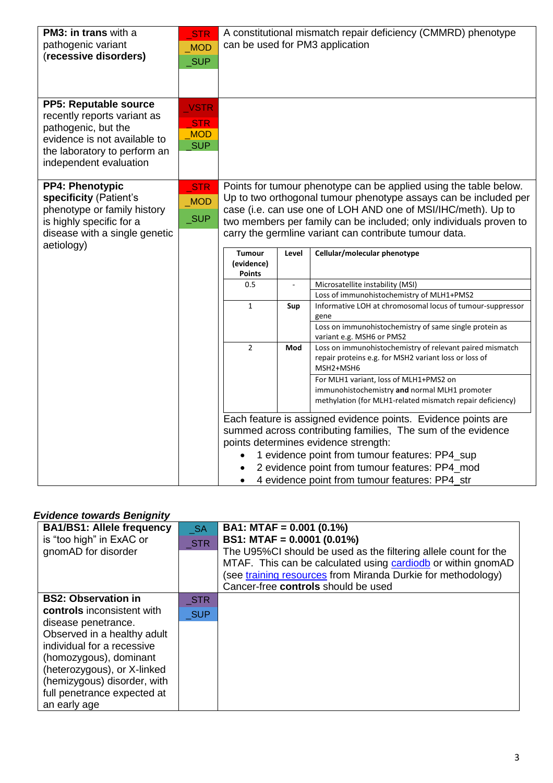| PM3: in trans with a<br>pathogenic variant<br>(recessive disorders)                                                                                                   | STR<br><b>MOD</b><br><b>SUP</b>                       |                                                                                                                                                                                                                                                                                                                                        |       | A constitutional mismatch repair deficiency (CMMRD) phenotype<br>can be used for PM3 application                                                                                                                                                                                                                            |  |
|-----------------------------------------------------------------------------------------------------------------------------------------------------------------------|-------------------------------------------------------|----------------------------------------------------------------------------------------------------------------------------------------------------------------------------------------------------------------------------------------------------------------------------------------------------------------------------------------|-------|-----------------------------------------------------------------------------------------------------------------------------------------------------------------------------------------------------------------------------------------------------------------------------------------------------------------------------|--|
| PP5: Reputable source<br>recently reports variant as<br>pathogenic, but the<br>evidence is not available to<br>the laboratory to perform an<br>independent evaluation | <b>VSTR</b><br><b>STR</b><br><b>MOD</b><br><b>SUP</b> |                                                                                                                                                                                                                                                                                                                                        |       |                                                                                                                                                                                                                                                                                                                             |  |
| <b>PP4: Phenotypic</b><br>specificity (Patient's<br>phenotype or family history<br>is highly specific for a<br>disease with a single genetic<br>aetiology)            | $\_STR$<br><b>MOD</b><br>$\sqrt{\text{SUP}}$          | Points for tumour phenotype can be applied using the table below.<br>Up to two orthogonal tumour phenotype assays can be included per<br>case (i.e. can use one of LOH AND one of MSI/IHC/meth). Up to<br>two members per family can be included; only individuals proven to<br>carry the germline variant can contribute tumour data. |       |                                                                                                                                                                                                                                                                                                                             |  |
|                                                                                                                                                                       |                                                       | <b>Tumour</b><br>(evidence)<br><b>Points</b>                                                                                                                                                                                                                                                                                           | Level | Cellular/molecular phenotype                                                                                                                                                                                                                                                                                                |  |
|                                                                                                                                                                       |                                                       | 0.5                                                                                                                                                                                                                                                                                                                                    |       | Microsatellite instability (MSI)<br>Loss of immunohistochemistry of MLH1+PMS2                                                                                                                                                                                                                                               |  |
|                                                                                                                                                                       |                                                       | $\mathbf{1}$                                                                                                                                                                                                                                                                                                                           | Sup   | Informative LOH at chromosomal locus of tumour-suppressor<br>gene<br>Loss on immunohistochemistry of same single protein as<br>variant e.g. MSH6 or PMS2                                                                                                                                                                    |  |
|                                                                                                                                                                       |                                                       | $\overline{2}$                                                                                                                                                                                                                                                                                                                         | Mod   | Loss on immunohistochemistry of relevant paired mismatch<br>repair proteins e.g. for MSH2 variant loss or loss of<br>MSH2+MSH6                                                                                                                                                                                              |  |
|                                                                                                                                                                       |                                                       |                                                                                                                                                                                                                                                                                                                                        |       | For MLH1 variant, loss of MLH1+PMS2 on<br>immunohistochemistry and normal MLH1 promoter<br>methylation (for MLH1-related mismatch repair deficiency)                                                                                                                                                                        |  |
|                                                                                                                                                                       |                                                       |                                                                                                                                                                                                                                                                                                                                        |       | Each feature is assigned evidence points. Evidence points are<br>summed across contributing families, The sum of the evidence<br>points determines evidence strength:<br>1 evidence point from tumour features: PP4_sup<br>2 evidence point from tumour features: PP4_mod<br>4 evidence point from tumour features: PP4 str |  |

### *Evidence towards Benignity*

| <b>BA1/BS1: Allele frequency</b><br>is "too high" in ExAC or<br>gnomAD for disorder | <b>SA</b><br><b>STR</b>  | BA1: MTAF = $0.001$ (0.1%)<br>BS1: MTAF = $0.0001$ (0.01%)<br>The U95%CI should be used as the filtering allele count for the<br>MTAF. This can be calculated using cardiodb or within gnomAD<br>(see training resources from Miranda Durkie for methodology)<br>Cancer-free controls should be used |
|-------------------------------------------------------------------------------------|--------------------------|------------------------------------------------------------------------------------------------------------------------------------------------------------------------------------------------------------------------------------------------------------------------------------------------------|
| <b>BS2: Observation in</b><br>controls inconsistent with                            | <b>STR</b><br><b>SUP</b> |                                                                                                                                                                                                                                                                                                      |
| disease penetrance.<br>Observed in a healthy adult                                  |                          |                                                                                                                                                                                                                                                                                                      |
| individual for a recessive<br>(homozygous), dominant                                |                          |                                                                                                                                                                                                                                                                                                      |
| (heterozygous), or X-linked<br>(hemizygous) disorder, with                          |                          |                                                                                                                                                                                                                                                                                                      |
| full penetrance expected at<br>an early age                                         |                          |                                                                                                                                                                                                                                                                                                      |